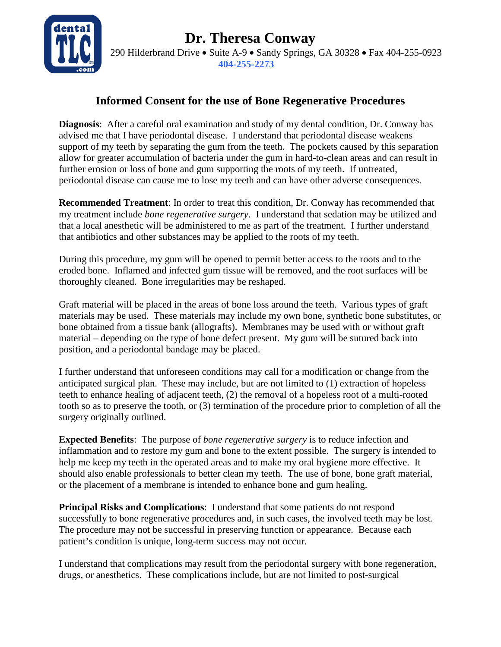**Dr. Theresa Conway**



290 Hilderbrand Drive • Suite A-9 • Sandy Springs, GA 30328 • Fax 404-255-0923  **404-255-2273**

## **Informed Consent for the use of Bone Regenerative Procedures**

**Diagnosis**: After a careful oral examination and study of my dental condition, Dr. Conway has advised me that I have periodontal disease. I understand that periodontal disease weakens support of my teeth by separating the gum from the teeth. The pockets caused by this separation allow for greater accumulation of bacteria under the gum in hard-to-clean areas and can result in further erosion or loss of bone and gum supporting the roots of my teeth. If untreated, periodontal disease can cause me to lose my teeth and can have other adverse consequences.

**Recommended Treatment**: In order to treat this condition, Dr. Conway has recommended that my treatment include *bone regenerative surgery*. I understand that sedation may be utilized and that a local anesthetic will be administered to me as part of the treatment. I further understand that antibiotics and other substances may be applied to the roots of my teeth.

During this procedure, my gum will be opened to permit better access to the roots and to the eroded bone. Inflamed and infected gum tissue will be removed, and the root surfaces will be thoroughly cleaned. Bone irregularities may be reshaped.

Graft material will be placed in the areas of bone loss around the teeth. Various types of graft materials may be used. These materials may include my own bone, synthetic bone substitutes, or bone obtained from a tissue bank (allografts). Membranes may be used with or without graft material – depending on the type of bone defect present. My gum will be sutured back into position, and a periodontal bandage may be placed.

I further understand that unforeseen conditions may call for a modification or change from the anticipated surgical plan. These may include, but are not limited to (1) extraction of hopeless teeth to enhance healing of adjacent teeth, (2) the removal of a hopeless root of a multi-rooted tooth so as to preserve the tooth, or (3) termination of the procedure prior to completion of all the surgery originally outlined.

**Expected Benefits**: The purpose of *bone regenerative surgery* is to reduce infection and inflammation and to restore my gum and bone to the extent possible. The surgery is intended to help me keep my teeth in the operated areas and to make my oral hygiene more effective. It should also enable professionals to better clean my teeth. The use of bone, bone graft material, or the placement of a membrane is intended to enhance bone and gum healing.

**Principal Risks and Complications**: I understand that some patients do not respond successfully to bone regenerative procedures and, in such cases, the involved teeth may be lost. The procedure may not be successful in preserving function or appearance. Because each patient's condition is unique, long-term success may not occur.

I understand that complications may result from the periodontal surgery with bone regeneration, drugs, or anesthetics. These complications include, but are not limited to post-surgical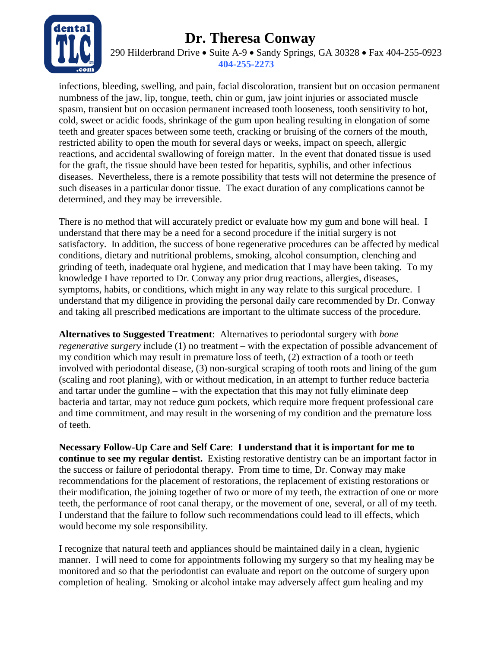## **Dr. Theresa Conway**



290 Hilderbrand Drive • Suite A-9 • Sandy Springs, GA 30328 • Fax 404-255-0923  **404-255-2273**

infections, bleeding, swelling, and pain, facial discoloration, transient but on occasion permanent numbness of the jaw, lip, tongue, teeth, chin or gum, jaw joint injuries or associated muscle spasm, transient but on occasion permanent increased tooth looseness, tooth sensitivity to hot, cold, sweet or acidic foods, shrinkage of the gum upon healing resulting in elongation of some teeth and greater spaces between some teeth, cracking or bruising of the corners of the mouth, restricted ability to open the mouth for several days or weeks, impact on speech, allergic reactions, and accidental swallowing of foreign matter. In the event that donated tissue is used for the graft, the tissue should have been tested for hepatitis, syphilis, and other infectious diseases. Nevertheless, there is a remote possibility that tests will not determine the presence of such diseases in a particular donor tissue. The exact duration of any complications cannot be determined, and they may be irreversible.

There is no method that will accurately predict or evaluate how my gum and bone will heal. I understand that there may be a need for a second procedure if the initial surgery is not satisfactory. In addition, the success of bone regenerative procedures can be affected by medical conditions, dietary and nutritional problems, smoking, alcohol consumption, clenching and grinding of teeth, inadequate oral hygiene, and medication that I may have been taking. To my knowledge I have reported to Dr. Conway any prior drug reactions, allergies, diseases, symptoms, habits, or conditions, which might in any way relate to this surgical procedure. I understand that my diligence in providing the personal daily care recommended by Dr. Conway and taking all prescribed medications are important to the ultimate success of the procedure.

**Alternatives to Suggested Treatment**: Alternatives to periodontal surgery with *bone regenerative surgery* include (1) no treatment – with the expectation of possible advancement of my condition which may result in premature loss of teeth, (2) extraction of a tooth or teeth involved with periodontal disease, (3) non-surgical scraping of tooth roots and lining of the gum (scaling and root planing), with or without medication, in an attempt to further reduce bacteria and tartar under the gumline – with the expectation that this may not fully eliminate deep bacteria and tartar, may not reduce gum pockets, which require more frequent professional care and time commitment, and may result in the worsening of my condition and the premature loss of teeth.

**Necessary Follow-Up Care and Self Care**: **I understand that it is important for me to continue to see my regular dentist.** Existing restorative dentistry can be an important factor in the success or failure of periodontal therapy. From time to time, Dr. Conway may make recommendations for the placement of restorations, the replacement of existing restorations or their modification, the joining together of two or more of my teeth, the extraction of one or more teeth, the performance of root canal therapy, or the movement of one, several, or all of my teeth. I understand that the failure to follow such recommendations could lead to ill effects, which would become my sole responsibility.

I recognize that natural teeth and appliances should be maintained daily in a clean, hygienic manner. I will need to come for appointments following my surgery so that my healing may be monitored and so that the periodontist can evaluate and report on the outcome of surgery upon completion of healing. Smoking or alcohol intake may adversely affect gum healing and my